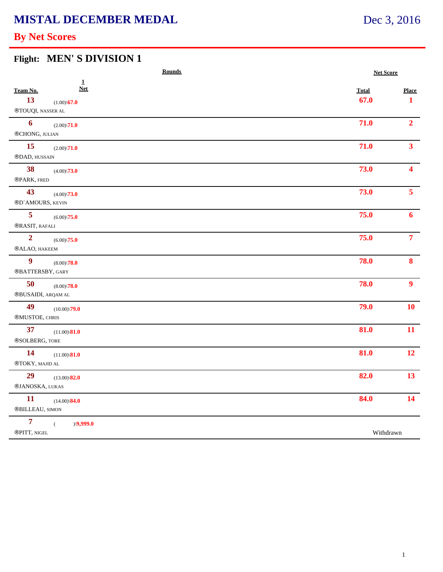# **MISTAL DECEMBER MEDAL**

# Dec 3, 2016

### **By Net Scores**

#### **Flight: MEN' S DIVISION 1**

| <b>Rounds</b>                                                                            | <b>Net Score</b>     |                              |
|------------------------------------------------------------------------------------------|----------------------|------------------------------|
| $\mathbf{1}$<br><b>Net</b><br>Team No.<br>13<br>$(1.00)\sqrt{67.0}$<br>®TOUQI, NASSER AL | <b>Total</b><br>67.0 | <b>Place</b><br>$\mathbf{1}$ |
| 6<br>$(2.00)\sqrt{71.0}$<br>®CHONG, JULIAN                                               | 71.0                 | 2 <sup>1</sup>               |
| 15<br>$(2.00)\sqrt{71.0}$<br>®DAD, HUSSAIN                                               | 71.0                 | 3 <sup>1</sup>               |
| 38<br>$(4.00)\sqrt{73.0}$<br>®PARK, FRED                                                 | 73.0                 | 4                            |
| 43<br>$(4.00)\sqrt{73.0}$<br>®D'AMOURS, KEVIN                                            | 73.0                 | 5 <sup>1</sup>               |
| $\overline{\mathbf{5}}$<br>$(6.00)\sqrt{75.0}$<br>®RASIT, RAFALI                         | 75.0                 | 6                            |
| $\overline{2}$<br>$(6.00)\sqrt{75.0}$<br>®ALAO, HAKEEM                                   | 75.0                 | $\overline{7}$               |
| $\boldsymbol{9}$<br>$(8.00)\sqrt{78.0}$<br>®BATTERSBY, GARY                              | 78.0                 | 8                            |
| 50<br>$(8.00)\sqrt{78.0}$<br>$\circledR$ BUSAIDI, ARQAM AL                               | 78.0                 | $\boldsymbol{9}$             |
| 49<br>$(10.00)\sqrt{79.0}$<br>®MUSTOE, CHRIS                                             | 79.0                 | 10                           |
| 37<br>$(11.00)\$ <sup>81.0</sup><br>®SOLBERG, TORE                                       | 81.0                 | 11                           |
| <b>14</b><br>$(11.00)\$ <b>81.0</b><br>$\circledR \mathbf{TOKY},$ MAJID AL               | 81.0                 | 12                           |
| 29<br>$(13.00)\$ <sup>82.0</sup><br>®JANOSKA, LUKAS                                      | 82.0                 | 13 <sup>°</sup>              |
| 11<br>$(14.00)\$ <sup>84.0</sup><br>®BILLEAU, SIMON                                      | 84.0                 | 14                           |
| $\overline{7}$<br>$)\langle 9,999.0$<br>$\overline{(\ }$<br>®PITT, NIGEL                 | Withdrawn            |                              |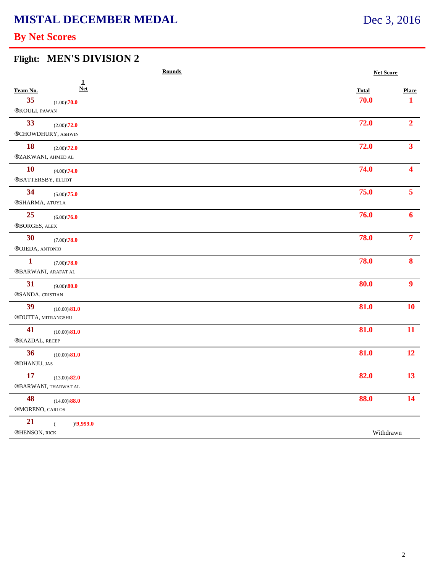# **MISTAL DECEMBER MEDAL**

# Dec 3, 2016

### **By Net Scores**

### **Flight: MEN'S DIVISION 2**

| <b>Rounds</b>                                                                                 | <b>Net Score</b>     |                              |
|-----------------------------------------------------------------------------------------------|----------------------|------------------------------|
| $\frac{1}{\text{Net}}$<br>Team No.<br>35<br>$(1.00)\sqrt{70.0}$<br>®KOULI, PAWAN              | <b>Total</b><br>70.0 | <b>Place</b><br>$\mathbf{1}$ |
| 33<br>$(2.00)\sqrt{72.0}$<br>®CHOWDHURY, ASHWIN                                               | 72.0                 | 2 <sup>1</sup>               |
| <b>18</b><br>$(2.00)\sqrt{72.0}$<br>®ZAKWANI, AHMED AL                                        | 72.0                 | 3 <sup>1</sup>               |
| <b>10</b><br>$(4.00)\sqrt{74.0}$<br>®BATTERSBY, ELLIOT                                        | 74.0                 | Δ                            |
| 34<br>$(5.00)\sqrt{75.0}$<br>®SHARMA, ATUYLA                                                  | 75.0                 | 5 <sup>5</sup>               |
| 25<br>$(6.00)\sqrt{76.0}$<br>®BORGES, ALEX                                                    | 76.0                 | 6                            |
| 30<br>$(7.00)\sqrt{78.0}$<br>$\circledR$ OJEDA, ANTONIO                                       | 78.0                 | $\overline{\tau}$            |
| $\mathbf{1}$<br>$(7.00)\sqrt{78.0}$<br>®BARWANI, ARAFAT AL                                    | 78.0                 | 8                            |
| 31<br>$(9.00)\$ <sup>80.0</sup><br>®SANDA, CRISTIAN                                           | 80.0                 | $\overline{9}$               |
| 39<br>$(10.00)$ \81.0<br>®DUTTA, MITRANGSHU                                                   | 81.0                 | 10                           |
| 41<br>$(10.00)$ \81.0<br>®KAZDAL, RECEP                                                       | 81.0                 | 11                           |
| 36<br>$(10.00)\$ \ <b>81.0</b><br>$\circledR$ DHANJU, JAS                                     | 81.0                 | <b>12</b>                    |
| 17<br>$(13.00)\$ <sup>82.0</sup><br>$\scriptstyle\rm \otimes BARMANI, \, \texttt{THARWAT}$ AL | 82.0                 | 13 <sup>°</sup>              |
| 48<br>$(14.00)\$ <sup>88.0</sup><br>®MORENO, CARLOS                                           | 88.0                 | 14                           |
| 21<br>$)\langle 9,999.0$<br>$\overline{(\ }$<br>®HENSON, RICK                                 | Withdrawn            |                              |